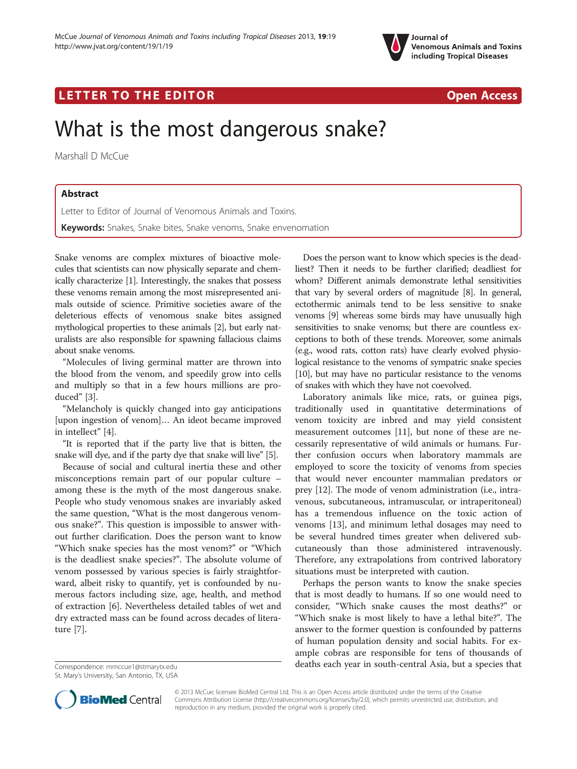

# LETTER TO THE EDITOR **CONSIDERATION** CONSIDERING THE STATE AND THE STATE ASSAULT ASSAULT ON A STATE AND THE STATE OF THE STATE AND THE STATE OF THE STATE OF THE STATE AND THE STATE OF THE STATE OF THE STATE OF THE STATE OF

# What is the most dangerous snake?

Marshall D McCue

## Abstract

Letter to Editor of Journal of Venomous Animals and Toxins. Keywords: Snakes, Snake bites, Snake venoms, Snake envenomation

Snake venoms are complex mixtures of bioactive molecules that scientists can now physically separate and chemically characterize [[1](#page-1-0)]. Interestingly, the snakes that possess these venoms remain among the most misrepresented animals outside of science. Primitive societies aware of the deleterious effects of venomous snake bites assigned mythological properties to these animals [[2\]](#page-1-0), but early naturalists are also responsible for spawning fallacious claims about snake venoms.

"Molecules of living germinal matter are thrown into the blood from the venom, and speedily grow into cells and multiply so that in a few hours millions are produced" [[3\]](#page-1-0).

"Melancholy is quickly changed into gay anticipations [upon ingestion of venom]… An ideot became improved in intellect" [\[4\]](#page-1-0).

"It is reported that if the party live that is bitten, the snake will dye, and if the party dye that snake will live" [\[5](#page-1-0)].

Because of social and cultural inertia these and other misconceptions remain part of our popular culture – among these is the myth of the most dangerous snake. People who study venomous snakes are invariably asked the same question, "What is the most dangerous venomous snake?". This question is impossible to answer without further clarification. Does the person want to know "Which snake species has the most venom?" or "Which is the deadliest snake species?". The absolute volume of venom possessed by various species is fairly straightforward, albeit risky to quantify, yet is confounded by numerous factors including size, age, health, and method of extraction [[6\]](#page-1-0). Nevertheless detailed tables of wet and dry extracted mass can be found across decades of literature [\[7](#page-1-0)].

Does the person want to know which species is the deadliest? Then it needs to be further clarified; deadliest for whom? Different animals demonstrate lethal sensitivities that vary by several orders of magnitude [\[8\]](#page-1-0). In general, ectothermic animals tend to be less sensitive to snake venoms [\[9\]](#page-1-0) whereas some birds may have unusually high sensitivities to snake venoms; but there are countless exceptions to both of these trends. Moreover, some animals (e.g., wood rats, cotton rats) have clearly evolved physiological resistance to the venoms of sympatric snake species [[10](#page-1-0)], but may have no particular resistance to the venoms of snakes with which they have not coevolved.

Laboratory animals like mice, rats, or guinea pigs, traditionally used in quantitative determinations of venom toxicity are inbred and may yield consistent measurement outcomes [[11\]](#page-1-0), but none of these are necessarily representative of wild animals or humans. Further confusion occurs when laboratory mammals are employed to score the toxicity of venoms from species that would never encounter mammalian predators or prey [[12](#page-1-0)]. The mode of venom administration (i.e., intravenous, subcutaneous, intramuscular, or intraperitoneal) has a tremendous influence on the toxic action of venoms [\[13\]](#page-1-0), and minimum lethal dosages may need to be several hundred times greater when delivered subcutaneously than those administered intravenously. Therefore, any extrapolations from contrived laboratory situations must be interpreted with caution.

Perhaps the person wants to know the snake species that is most deadly to humans. If so one would need to consider, "Which snake causes the most deaths?" or "Which snake is most likely to have a lethal bite?". The answer to the former question is confounded by patterns of human population density and social habits. For example cobras are responsible for tens of thousands of Correspondence: [mmccue1@stmarytx.edu](mailto:mmccue1@stmarytx.edu) deaths each year in south-central Asia, but a species that



© 2013 McCue; licensee BioMed Central Ltd. This is an Open Access article distributed under the terms of the Creative Commons Attribution License [\(http://creativecommons.org/licenses/by/2.0\)](http://creativecommons.org/licenses/by/2.0), which permits unrestricted use, distribution, and reproduction in any medium, provided the original work is properly cited.

St. Mary's University, San Antonio, TX, USA